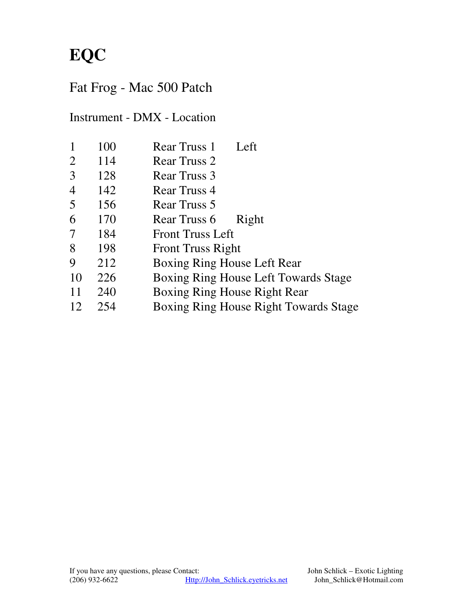### Fat Frog - Mac 500 Patch

Instrument - DMX - Location

| 1               | 100 | Left<br><b>Rear Truss 1</b>                  |
|-----------------|-----|----------------------------------------------|
| $\overline{2}$  | 114 | Rear Truss 2                                 |
| $\overline{3}$  | 128 | Rear Truss 3                                 |
| 4               | 142 | Rear Truss 4                                 |
| $5\overline{)}$ | 156 | Rear Truss 5                                 |
| 6               | 170 | Rear Truss 6<br>Right                        |
| 7               | 184 | <b>Front Truss Left</b>                      |
| 8               | 198 | <b>Front Truss Right</b>                     |
| 9               | 212 | Boxing Ring House Left Rear                  |
| 10              | 226 | <b>Boxing Ring House Left Towards Stage</b>  |
| 11              | 240 | Boxing Ring House Right Rear                 |
| 12              | 254 | <b>Boxing Ring House Right Towards Stage</b> |
|                 |     |                                              |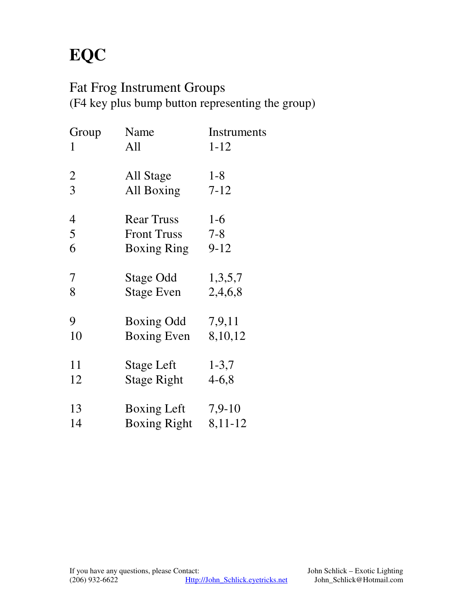## Fat Frog Instrument Groups

(F4 key plus bump button representing the group)

| Group          | Name                | Instruments |
|----------------|---------------------|-------------|
| 1              | All                 | $1 - 12$    |
| $\overline{2}$ | All Stage           | $1 - 8$     |
| 3              | All Boxing          | $7 - 12$    |
| 4              | <b>Rear Truss</b>   | $1-6$       |
| 5              | <b>Front Truss</b>  | $7 - 8$     |
| 6              | <b>Boxing Ring</b>  | $9 - 12$    |
| 7              | Stage Odd           | 1,3,5,7     |
| 8              | <b>Stage Even</b>   | 2,4,6,8     |
| 9              | Boxing Odd          | 7,9,11      |
| 10             | Boxing Even         | 8,10,12     |
| 11             | Stage Left          | $1 - 3,7$   |
| 12             | <b>Stage Right</b>  | $4 - 6, 8$  |
| 13             | Boxing Left         | $7,9-10$    |
| 14             | <b>Boxing Right</b> | 8,11-12     |
|                |                     |             |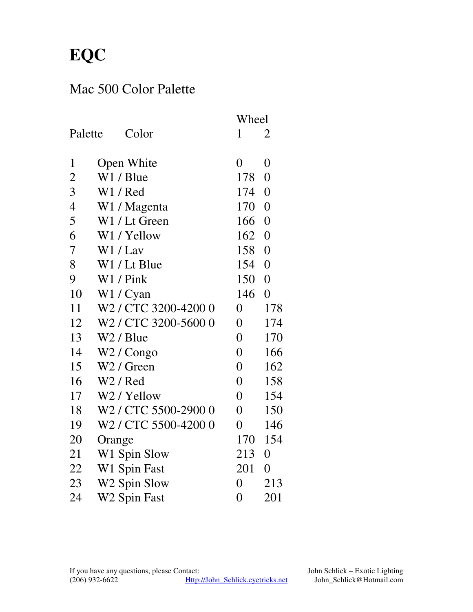#### Mac 500 Color Palette

|                |                                  | Wheel          |                  |
|----------------|----------------------------------|----------------|------------------|
| Palette        | Color                            | $\mathbf{1}$   | 2                |
| $\mathbf{1}$   | Open White                       | $\overline{0}$ | $\overline{0}$   |
| $\overline{2}$ | W1 / Blue                        | 178            | $\overline{0}$   |
| 3              | W1/Red                           | 174            | $\overline{0}$   |
| $\overline{4}$ | W1 / Magenta                     | 170            | $\overline{0}$   |
| 5              | W1 / Lt Green                    | 166            | $\overline{0}$   |
| 6              | W1 / Yellow                      | 162            | $\boldsymbol{0}$ |
| 7              | W1 / Lav                         | 158            | $\overline{0}$   |
| 8              | W1 / Lt Blue                     | 154            | $\overline{0}$   |
| 9              | W1 / Pink                        | 150            | $\overline{0}$   |
| 10             | W1/Cyan                          | 146            | $\overline{0}$   |
| 11             | W2 / CTC 3200-4200 0             | $\overline{0}$ | 178              |
| 12             | W <sub>2</sub> / CTC 3200-5600 0 | $\overline{0}$ | 174              |
| 13             | W2 / Blue                        | $\overline{0}$ | 170              |
| 14             | W <sub>2</sub> / Congo           | $\overline{0}$ | 166              |
| 15             | W <sub>2</sub> / Green           | $\overline{0}$ | 162              |
| 16             | W <sub>2</sub> / Red             | $\overline{0}$ | 158              |
| 17             | W <sub>2</sub> / Yellow          | $\overline{0}$ | 154              |
| 18             | W2 / CTC 5500-2900 0             | $\overline{0}$ | 150              |
| 19             | W2 / CTC 5500-4200 0             | $\overline{0}$ | 146              |
| 20             | Orange                           | 170            | 154              |
| 21             | W1 Spin Slow                     | 213            | $\overline{0}$   |
| 22             | W1 Spin Fast                     | 201            | $\boldsymbol{0}$ |
| 23             | W <sub>2</sub> Spin Slow         | $\overline{0}$ | 213              |
| 24             | W <sub>2</sub> Spin Fast         | $\overline{0}$ | 201              |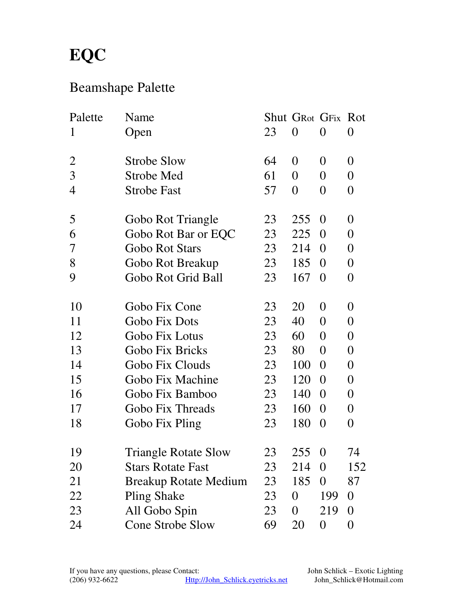### Beamshape Palette

| Palette        | Name                         |    | <b>Shut GRot GFix Rot</b> |                |                  |
|----------------|------------------------------|----|---------------------------|----------------|------------------|
| $\mathbf{1}$   | Open                         | 23 | $\overline{0}$            | $\overline{0}$ | 0                |
| $\overline{2}$ | <b>Strobe Slow</b>           | 64 | $\overline{0}$            | $\theta$       | $\overline{0}$   |
| 3              | Strobe Med                   | 61 | $\overline{0}$            | $\overline{0}$ | $\boldsymbol{0}$ |
| $\overline{4}$ | <b>Strobe Fast</b>           | 57 | $\overline{0}$            | $\overline{0}$ | $\boldsymbol{0}$ |
| 5              | Gobo Rot Triangle            | 23 | 255                       | $\Omega$       | $\overline{0}$   |
| 6              | Gobo Rot Bar or EQC          | 23 | 225                       | $\overline{0}$ | $\boldsymbol{0}$ |
| 7              | <b>Gobo Rot Stars</b>        | 23 | 214                       | $\Omega$       | $\boldsymbol{0}$ |
| 8              | Gobo Rot Breakup             | 23 | 185                       | $\overline{0}$ | $\boldsymbol{0}$ |
| 9              | Gobo Rot Grid Ball           | 23 | 167                       | $\overline{0}$ | $\boldsymbol{0}$ |
| 10             | Gobo Fix Cone                | 23 | 20                        | $\overline{0}$ | $\boldsymbol{0}$ |
| 11             | Gobo Fix Dots                | 23 | 40                        | $\overline{0}$ | $\boldsymbol{0}$ |
| 12             | Gobo Fix Lotus               | 23 | 60                        | $\overline{0}$ | $\boldsymbol{0}$ |
| 13             | Gobo Fix Bricks              | 23 | 80                        | $\overline{0}$ | $\boldsymbol{0}$ |
| 14             | Gobo Fix Clouds              | 23 | 100                       | $\overline{0}$ | $\boldsymbol{0}$ |
| 15             | Gobo Fix Machine             | 23 | 120                       | $\overline{0}$ | $\boldsymbol{0}$ |
| 16             | Gobo Fix Bamboo              | 23 | 140                       | $\overline{0}$ | $\boldsymbol{0}$ |
| 17             | Gobo Fix Threads             | 23 | 160                       | $\overline{0}$ | $\boldsymbol{0}$ |
| 18             | Gobo Fix Pling               | 23 | 180                       | $\overline{0}$ | $\boldsymbol{0}$ |
| 19             | <b>Triangle Rotate Slow</b>  | 23 | 255                       | $\overline{0}$ | 74               |
| 20             | <b>Stars Rotate Fast</b>     | 23 | 214                       | $\overline{0}$ | 152              |
| 21             | <b>Breakup Rotate Medium</b> | 23 | 185                       | $\theta$       | 87               |
| 22             | <b>Pling Shake</b>           | 23 | $\overline{0}$            | 199            | $\overline{0}$   |
| 23             | All Gobo Spin                | 23 | $\overline{0}$            | 219            | $\overline{0}$   |
| 24             | <b>Cone Strobe Slow</b>      | 69 | 20                        | 0              | $\boldsymbol{0}$ |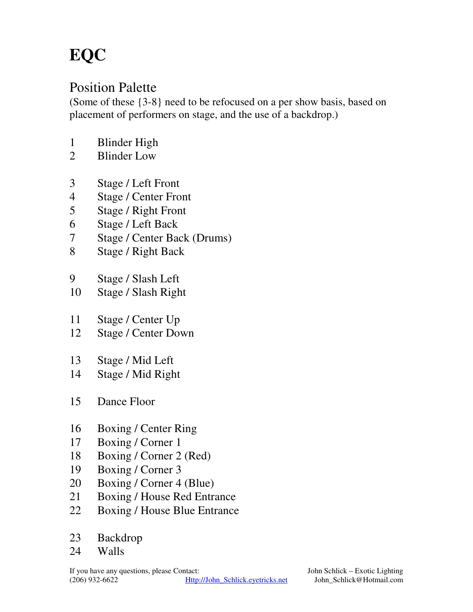#### Position Palette

(Some of these {3-8} need to be refocused on a per show basis, based on placement of performers on stage, and the use of a backdrop.)

- Blinder High
- Blinder Low
- Stage / Left Front
- Stage / Center Front
- Stage / Right Front
- Stage / Left Back
- Stage / Center Back (Drums)
- Stage / Right Back
- Stage / Slash Left
- Stage / Slash Right
- Stage / Center Up
- Stage / Center Down
- Stage / Mid Left
- Stage / Mid Right
- Dance Floor
- Boxing / Center Ring
- Boxing / Corner 1
- Boxing / Corner 2 (Red)
- Boxing / Corner 3
- Boxing / Corner 4 (Blue)
- Boxing / House Red Entrance
- Boxing / House Blue Entrance
- Backdrop
- Walls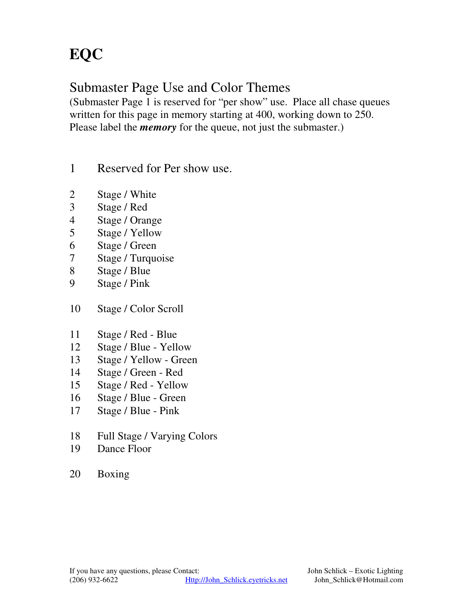#### Submaster Page Use and Color Themes

(Submaster Page 1 is reserved for "per show" use. Place all chase queues written for this page in memory starting at 400, working down to 250. Please label the *memory* for the queue, not just the submaster.)

- Reserved for Per show use.
- Stage / White
- Stage / Red
- Stage / Orange
- Stage / Yellow
- Stage / Green
- Stage / Turquoise
- Stage / Blue
- Stage / Pink
- Stage / Color Scroll
- Stage / Red Blue
- Stage / Blue Yellow
- Stage / Yellow Green
- Stage / Green Red
- Stage / Red Yellow
- Stage / Blue Green
- Stage / Blue Pink
- Full Stage / Varying Colors
- Dance Floor
- Boxing